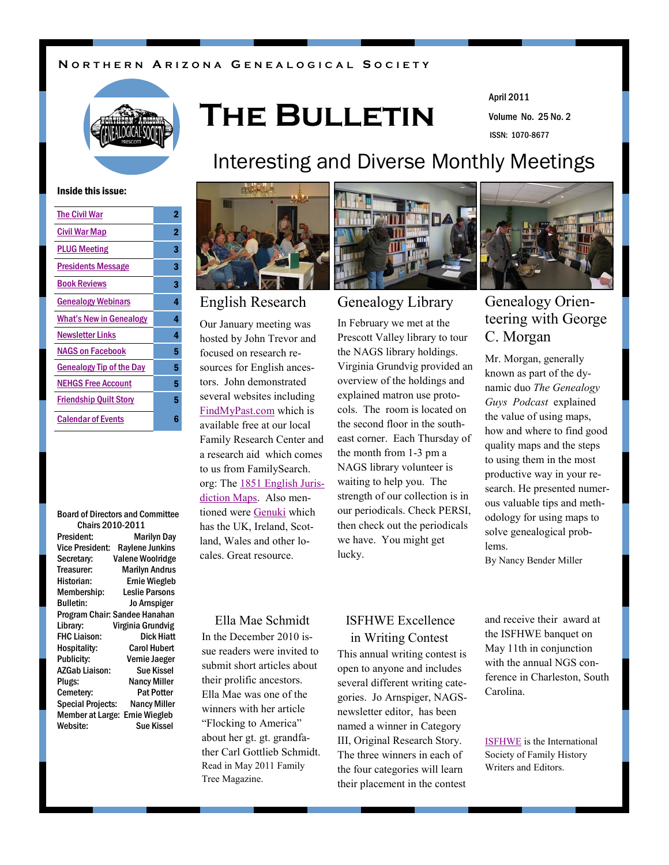### **N O R T H E R N A R I Z O N A G E N E A L O G I C A L S O C I E T Y**



# **The Bulletin**

Volume No. 25 No. 2 April 2011 ISSN: 1070-8677

#### Inside this issue:

| <b>The Civil War</b>            | 2 |
|---------------------------------|---|
| Civil War Map                   | 2 |
| <b>PLUG Meeting</b>             | 3 |
| <b>Presidents Message</b>       | 3 |
| <b>Book Reviews</b>             | 3 |
| <b>Genealogy Webinars</b>       | 4 |
| <b>What's New in Genealogy</b>  | 4 |
| <b>Newsletter Links</b>         | 4 |
| <b>NAGS on Facebook</b>         | 5 |
| <b>Genealogy Tip of the Day</b> | 5 |
| <b>NEHGS Free Account</b>       | 5 |
| <b>Friendship Quilt Story</b>   | 5 |
| <b>Calendar of Events</b>       | 6 |
|                                 |   |

#### Board of Directors and Committee Chairs 2010-2011

| President:                    | <b>Marilyn Day</b>      |
|-------------------------------|-------------------------|
| Vice President:               | <b>Raylene Junkins</b>  |
| Secretary:                    | <b>Valene Woolridge</b> |
| Treasurer:                    | <b>Marilyn Andrus</b>   |
| Historian:                    | <b>Ernie Wiegleb</b>    |
| Membership:                   | <b>Leslie Parsons</b>   |
| <b>Bulletin:</b>              | Jo Arnspiger            |
| Program Chair: Sandee Hanahan |                         |
| Library:                      | Virginia Grundvig       |
| <b>FHC Liaison:</b>           | <b>Dick Hiatt</b>       |
| Hospitality:                  | <b>Carol Hubert</b>     |
| Publicity:                    | Vernie Jaeger           |
| AZGab Liaison:                | Sue Kissel              |
| Plugs:                        | <b>Nancy Miller</b>     |
| Cemetery:                     | <b>Pat Potter</b>       |
| <b>Special Projects:</b>      | <b>Nancy Miller</b>     |
| <b>Member at Large:</b>       | <b>Ernie Wiegleb</b>    |
| Website:                      | Sue Kissel              |

# Interesting and Diverse Monthly Meetings



Our January meeting was hosted by John Trevor and focused on research resources for English ancestors. John demonstrated several websites including [FindMyPast.com](http://www.findmypast.co.uk/home.jsp) which is available free at our local Family Research Center and a research aid which comes to us from FamilySearch. org: The [1851 English Juris](http://maps.familysearch.org)[diction Maps.](http://maps.familysearch.org) Also mentioned were [Genuki](http://www.genuki.org.uk/) which has the UK, Ireland, Scotland, Wales and other locales. Great resource.

#### Ella Mae Schmidt

In the December 2010 issue readers were invited to submit short articles about their prolific ancestors. Ella Mae was one of the winners with her article "Flocking to America" about her gt. gt. grandfather Carl Gottlieb Schmidt. Read in May 2011 Family Tree Magazine.



In February we met at the Prescott Valley library to tour the NAGS library holdings. Virginia Grundvig provided an overview of the holdings and explained matron use protocols. The room is located on the second floor in the southeast corner. Each Thursday of the month from 1-3 pm a NAGS library volunteer is waiting to help you. The strength of our collection is in our periodicals. Check PERSI, then check out the periodicals we have. You might get lucky.



## English Research Genealogy Library Genealogy Orienteering with George C. Morgan

Mr. Morgan, generally known as part of the dynamic duo *The Genealogy Guys Podcast* explained the value of using maps, how and where to find good quality maps and the steps to using them in the most productive way in your research. He presented numerous valuable tips and methodology for using maps to solve genealogical problems.

By Nancy Bender Miller

## ISFHWE Excellence in Writing Contest

This annual writing contest is open to anyone and includes several different writing categories. Jo Arnspiger, NAGSnewsletter editor, has been named a winner in Category III, Original Research Story. The three winners in each of the four categories will learn their placement in the contest

and receive their award at the ISFHWE banquet on May 11th in conjunction with the annual NGS conference in Charleston, South Carolina.

[ISFHWE](http://www.isfhwe.org/) is the International Society of Family History Writers and Editors.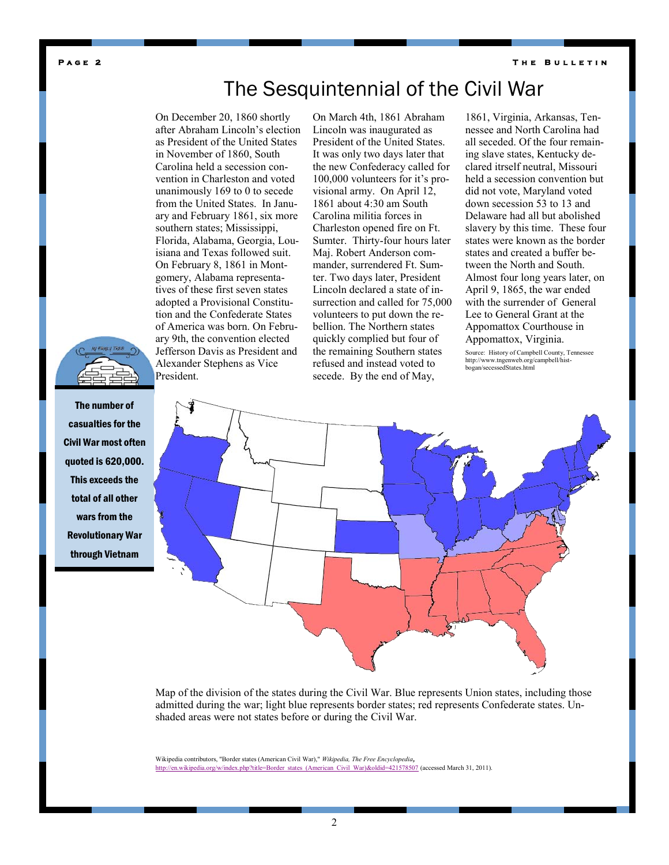<span id="page-1-0"></span>**P a g e 2** 

# The Sesquintennial of the Civil War

On December 20, 1860 shortly after Abraham Lincoln's election as President of the United States in November of 1860, South Carolina held a secession convention in Charleston and voted unanimously 169 to 0 to secede from the United States. In January and February 1861, six more southern states; Mississippi, Florida, Alabama, Georgia, Louisiana and Texas followed suit. On February 8, 1861 in Montgomery, Alabama representatives of these first seven states adopted a Provisional Constitution and the Confederate States of America was born. On February 9th, the convention elected Jefferson Davis as President and Alexander Stephens as Vice President.

On March 4th, 1861 Abraham Lincoln was inaugurated as President of the United States. It was only two days later that the new Confederacy called for 100,000 volunteers for it's provisional army. On April 12, 1861 about 4:30 am South Carolina militia forces in Charleston opened fire on Ft. Sumter. Thirty-four hours later Maj. Robert Anderson commander, surrendered Ft. Sumter. Two days later, President Lincoln declared a state of insurrection and called for 75,000 volunteers to put down the rebellion. The Northern states quickly complied but four of the remaining Southern states refused and instead voted to secede. By the end of May,

1861, Virginia, Arkansas, Tennessee and North Carolina had all seceded. Of the four remaining slave states, Kentucky declared itrself neutral, Missouri held a secession convention but did not vote, Maryland voted down secession 53 to 13 and Delaware had all but abolished slavery by this time. These four states were known as the border states and created a buffer between the North and South. Almost four long years later, on April 9, 1865, the war ended with the surrender of General Lee to General Grant at the Appomattox Courthouse in Appomattox, Virginia.

Source: History of Campbell County, Tennessee http://www.tngenweb.org/campbell/histbogan/secessedStates.html



Map of the division of the states during the Civil War. Blue represents Union states, including those admitted during the war; light blue represents border states; red represents Confederate states. Unshaded areas were not states before or during the Civil War.

Wikipedia contributors, "Border states (American Civil War)," *Wikipedia, The Free Encyclopedia,* [http://en.wikipedia.org/w/index.php?title=Border\\_states\\_\(American\\_Civil\\_War\)&oldid=421578507](http://en.wikipedia.org/w/index.php?title=Border_states_(American_Civil_War)&oldid=421578507) (accessed March 31, 2011).



The number of casualties for the Civil War most often quoted is 620,000. This exceeds the total of all other wars from the Revolutionary War through Vietnam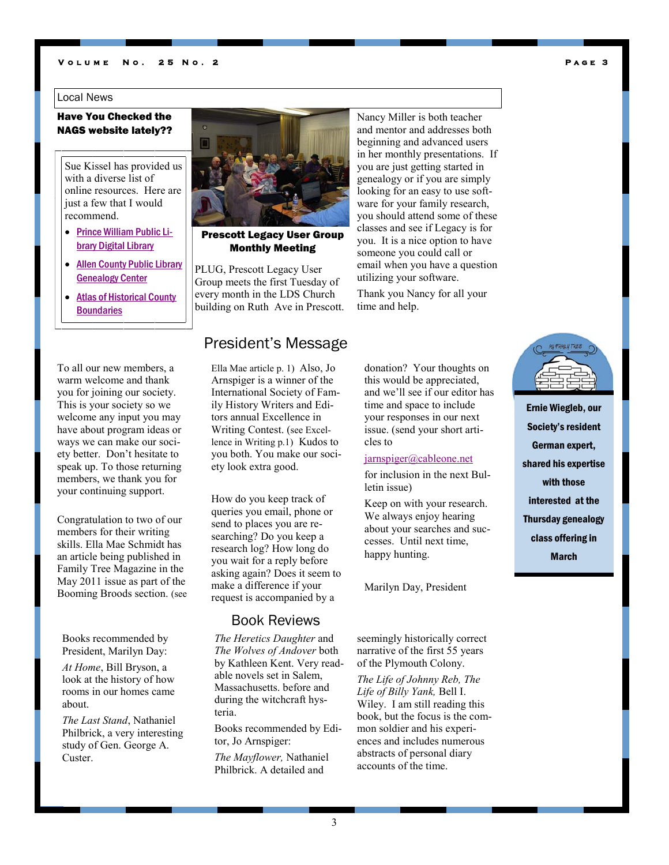#### <span id="page-2-0"></span>**V o l u m e N o . 2 5 N o . 2**

#### Local News

### Have You Checked the NAGS website lately??

Sue Kissel has provided us with a diverse list of online resources. Here are just a few that I would recommend.

- [Prince William Public Li](http://www.pwcgov.org/library/digitalLibrary/index.htm)[brary Digital Library](http://www.pwcgov.org/library/digitalLibrary/index.htm)
- **Allen County Public Library** [Genealogy Center](http://www.genealogycenter.org/Databases/FreeDatabases.aspx)
- [Atlas of Historical County](http://publications.newberry.org/ahcbp/)  **[Boundaries](http://publications.newberry.org/ahcbp/)**

#### To all our new members, a warm welcome and thank you for joining our society. This is your society so we welcome any input you may have about program ideas or ways we can make our society better. Don't hesitate to speak up. To those returning members, we thank you for your continuing support.

Congratulation to two of our members for their writing skills. Ella Mae Schmidt has an article being published in Family Tree Magazine in the May 2011 issue as part of the Booming Broods section. (see

Books recommended by President, Marilyn Day:

*At Home*, Bill Bryson, a look at the history of how rooms in our homes came about.

*The Last Stand*, Nathaniel Philbrick, a very interesting study of Gen. George A. Custer.



### Prescott Legacy User Group Monthly Meeting

PLUG, Prescott Legacy User Group meets the first Tuesday of every month in the LDS Church building on Ruth Ave in Prescott.

## President's Message

Ella Mae article p. 1) Also, Jo Arnspiger is a winner of the International Society of Family History Writers and Editors annual Excellence in Writing Contest. (see Excellence in Writing p.1) Kudos to you both. You make our society look extra good.

How do you keep track of queries you email, phone or send to places you are researching? Do you keep a research log? How long do you wait for a reply before asking again? Does it seem to make a difference if your request is accompanied by a

### Book Reviews

*The Heretics Daughter* and *The Wolves of Andover* both by Kathleen Kent. Very readable novels set in Salem, Massachusetts. before and during the witchcraft hysteria.

Books recommended by Editor, Jo Arnspiger:

*The Mayflower,* Nathaniel Philbrick. A detailed and

Nancy Miller is both teacher and mentor and addresses both beginning and advanced users in her monthly presentations. If you are just getting started in genealogy or if you are simply looking for an easy to use software for your family research, you should attend some of these classes and see if Legacy is for you. It is a nice option to have someone you could call or email when you have a question utilizing your software.

Thank you Nancy for all your time and help.

donation? Your thoughts on this would be appreciated, and we'll see if our editor has time and space to include your responses in our next issue. (send your short arti-

#### [jarnspiger@cableone.net](mailto:jarnspiger@cableone.net)

cles to

for inclusion in the next Bulletin issue)

Keep on with your research. We always enjoy hearing about your searches and successes. Until next time, happy hunting.

Marilyn Day, President

seemingly historically correct narrative of the first 55 years of the Plymouth Colony.

*The Life of Johnny Reb, The Life of Billy Yank,* Bell I. Wiley. I am still reading this book, but the focus is the common soldier and his experiences and includes numerous abstracts of personal diary accounts of the time.



**P a g e 3** 

Ernie Wiegleb, our Society's resident German expert, shared his expertise with those interested at the Thursday genealogy class offering in March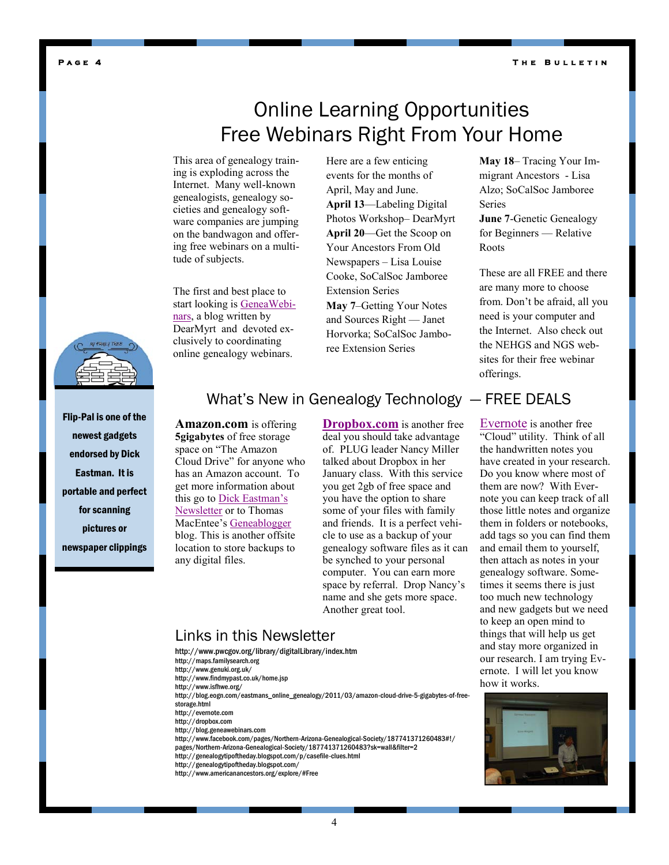**T h e B u l l e t i n** 

#### <span id="page-3-0"></span>**P a g e 4**

# Online Learning Opportunities Free Webinars Right From Your Home

This area of genealogy training is exploding across the Internet. Many well-known genealogists, genealogy societies and genealogy software companies are jumping on the bandwagon and offering free webinars on a multitude of subjects.

The first and best place to start looking is [GeneaWebi](http://blog.geneawebinars.com/)[nars,](http://blog.geneawebinars.com/) a blog written by DearMyrt and devoted exclusively to coordinating online genealogy webinars.

Here are a few enticing events for the months of April, May and June. **April 13**—Labeling Digital Photos Workshop– DearMyrt **April 20**—Get the Scoop on Your Ancestors From Old Newspapers – Lisa Louise Cooke, SoCalSoc Jamboree Extension Series **May 7**–Getting Your Notes and Sources Right — Janet Horvorka; SoCalSoc Jamboree Extension Series

**May 18**– Tracing Your Immigrant Ancestors - Lisa Alzo; SoCalSoc Jamboree Series

**June 7**-Genetic Genealogy for Beginners — Relative Roots

These are all FREE and there are many more to choose from. Don't be afraid, all you need is your computer and the Internet. Also check out the NEHGS and NGS websites for their free webinar offerings.

Flip-Pal is one of the newest gadgets endorsed by Dick Eastman. It is portable and perfect for scanning pictures or newspaper clippings

## What's New in Genealogy Technology — FREE DEALS

**Amazon.com** is offering **5gigabytes** of free storage space on "The Amazon Cloud Drive" for anyone who has an Amazon account. To get more information about this go to [Dick Eastman's](http://blog.eogn.com/eastmans_online_genealogy/2011/03/amazon-cloud-drive-5-gigabytes-of-free-storage.html)  [Newsletter](http://blog.eogn.com/eastmans_online_genealogy/2011/03/amazon-cloud-drive-5-gigabytes-of-free-storage.html) or to Thomas MacEntee's [Geneablogger](http://www.geneabloggers.com/amazon-cloud-drive-5gb-free-data-backup-space/?utm_source=feedburner&utm_medium=feed&utm_campaign=Feed%3A+Geneabloggers+%28GeneaBloggers%29&utm_content=Google+Reader) blog. This is another offsite location to store backups to any digital files.

**[Dropbox.com](https://www.dropbox.com/gs)** is another free deal you should take advantage of. PLUG leader Nancy Miller talked about Dropbox in her January class. With this service you get 2gb of free space and you have the option to share some of your files with family and friends. It is a perfect vehicle to use as a backup of your genealogy software files as it can be synched to your personal computer. You can earn more space by referral. Drop Nancy's name and she gets more space. Another great tool.

[Evernote](http://evernote.com/) is another free "Cloud" utility. Think of all the handwritten notes you have created in your research. Do you know where most of them are now? With Evernote you can keep track of all those little notes and organize them in folders or notebooks, add tags so you can find them and email them to yourself, then attach as notes in your genealogy software. Sometimes it seems there is just too much new technology and new gadgets but we need to keep an open mind to things that will help us get and stay more organized in our research. I am trying Evernote. I will let you know how it works.



- http://www.pwcgov.org/library/digitalLibrary/index.htm
- http://maps.familysearch.org
- http://www.genuki.org.uk/
- http://www.findmypast.co.uk/home.jsp http://www.isfhwe.org/
- http://blog.eogn.com/eastmans\_online\_genealogy/2011/03/amazon-cloud-drive-5-gigabytes-of-free-
- storage.html
- http://evernote.com
- http://dropbox.com
- http://blog.geneawebinars.com
- http://www.facebook.com/pages/Northern-Arizona-Genealogical-Society/187741371260483#!/
- pages/Northern-Arizona-Genealogical-Society/187741371260483?sk=wall&filter=2
- http://genealogytipoftheday.blogspot.com/p/casefile-clues.html
- http://genealogytipoftheday.blogspot.com/
- http://www.americanancestors.org/explore/#Free

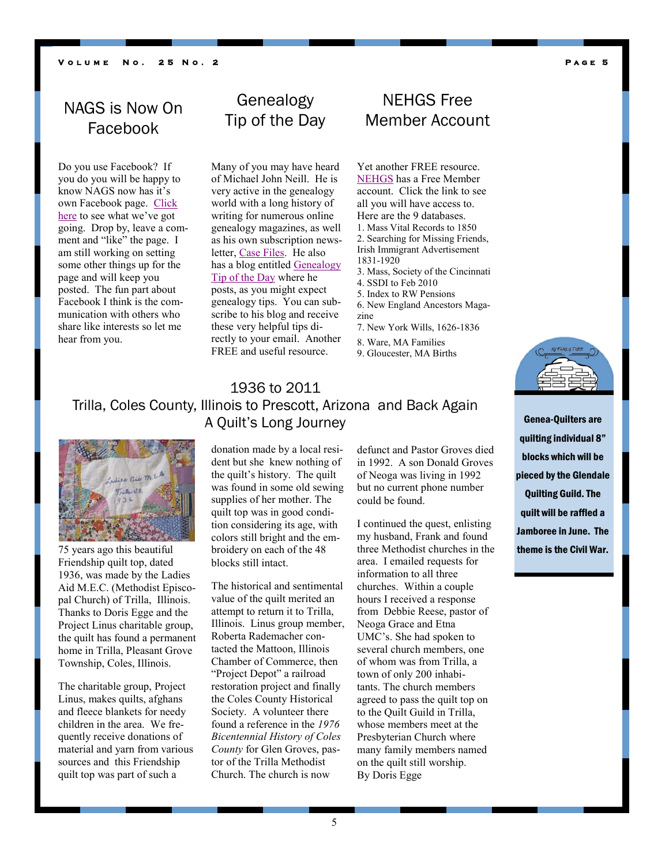#### <span id="page-4-0"></span>**V o l u m e N o . 2 5 N o . 2**

#### **P a g e 5**

# NAGS is Now On Facebook

Do you use Facebook? If you do you will be happy to know NAGS now has it's own Facebook page. Click [here](http://www.facebook.com/pages/Northern-Arizona-Genealogical-Society/187741371260483#!/pages/Northern-Arizona-Genealogical-Society/187741371260483?sk=wall&filter=2) to see what we've got going. Drop by, leave a comment and "like" the page. I am still working on setting some other things up for the page and will keep you posted. The fun part about Facebook I think is the communication with others who share like interests so let me hear from you.

# Genealogy Tip of the Day

Many of you may have heard of Michael John Neill. He is very active in the genealogy world with a long history of writing for numerous online genealogy magazines, as well as his own subscription news-letter, [Case Files.](http://genealogytipoftheday.blogspot.com/p/casefile-clues.html) He also has a blog entitled [Genealogy](http://genealogytipoftheday.blogspot.com/)  [Tip of the Day](http://genealogytipoftheday.blogspot.com/) where he posts, as you might expect genealogy tips. You can subscribe to his blog and receive these very helpful tips directly to your email. Another FREE and useful resource.

## NEHGS Free Member Account

Yet another FREE resource. [NEHGS](http://www.americanancestors.org/explore/#Free) has a Free Member account. Click the link to see all you will have access to. Here are the 9 databases. 1. Mass Vital Records to 1850 2. Searching for Missing Friends, Irish Immigrant Advertisement 1831-1920 3. Mass, Society of the Cincinnati 4. SSDI to Feb 2010 5. Index to RW Pensions 6. New England Ancestors Magazine 7. New York Wills, 1626-1836

- 8. Ware, MA Families
- 9. Gloucester, MA Births

## 1936 to 2011 Trilla, Coles County, Illinois to Prescott, Arizona and Back Again A Quilt's Long Journey



75 years ago this beautiful Friendship quilt top, dated 1936, was made by the Ladies Aid M.E.C. (Methodist Episcopal Church) of Trilla, Illinois. Thanks to Doris Egge and the Project Linus charitable group, the quilt has found a permanent home in Trilla, Pleasant Grove Township, Coles, Illinois.

The charitable group, Project Linus, makes quilts, afghans and fleece blankets for needy children in the area. We frequently receive donations of material and yarn from various sources and this Friendship quilt top was part of such a

donation made by a local resident but she knew nothing of the quilt's history. The quilt was found in some old sewing supplies of her mother. The quilt top was in good condition considering its age, with colors still bright and the embroidery on each of the 48 blocks still intact.

The historical and sentimental value of the quilt merited an attempt to return it to Trilla, Illinois. Linus group member, Roberta Rademacher contacted the Mattoon, Illinois Chamber of Commerce, then "Project Depot" a railroad restoration project and finally the Coles County Historical Society. A volunteer there found a reference in the *1976 Bicentennial History of Coles County* for Glen Groves, pastor of the Trilla Methodist Church. The church is now

defunct and Pastor Groves died in 1992. A son Donald Groves of Neoga was living in 1992 but no current phone number could be found.

I continued the quest, enlisting my husband, Frank and found three Methodist churches in the area. I emailed requests for information to all three churches. Within a couple hours I received a response from Debbie Reese, pastor of Neoga Grace and Etna UMC's. She had spoken to several church members, one of whom was from Trilla, a town of only 200 inhabitants. The church members agreed to pass the quilt top on to the Quilt Guild in Trilla, whose members meet at the Presbyterian Church where many family members named on the quilt still worship. By Doris Egge

Genea-Quilters are quilting individual 8" blocks which will be pieced by the Glendale Quilting Guild. The quilt will be raffled a Jamboree in June. The theme is the Civil War.